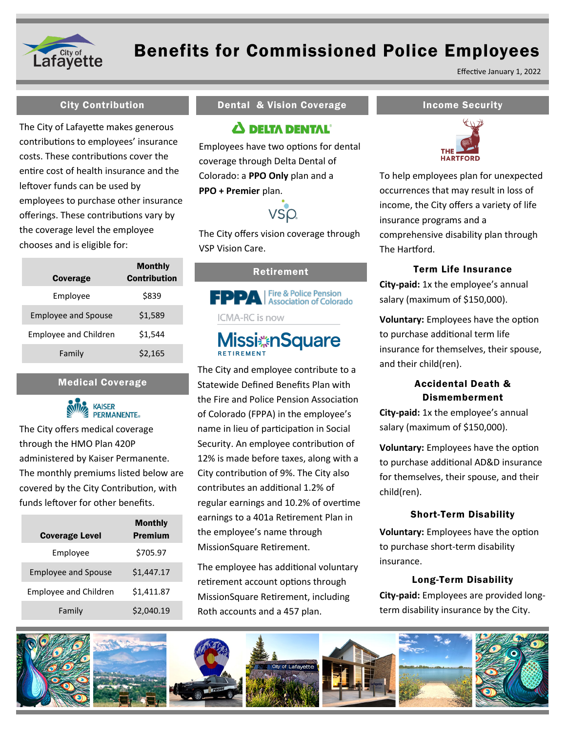

## Benefits for Commissioned Police Employees

Effective January 1, 2022

The City of Lafayette makes generous contributions to employees' insurance costs. These contributions cover the entire cost of health insurance and the leftover funds can be used by employees to purchase other insurance offerings. These contributions vary by the coverage level the employee chooses and is eligible for:

| Coverage                     | Monthly<br><b>Contribution</b> |
|------------------------------|--------------------------------|
| Employee                     | \$839                          |
| <b>Employee and Spouse</b>   | \$1,589                        |
| <b>Employee and Children</b> | \$1.544                        |
| Family                       | \$2,165                        |

#### Medical Coverage



The City offers medical coverage through the HMO Plan 420P administered by Kaiser Permanente. The monthly premiums listed below are covered by the City Contribution, with funds leftover for other benefits.

| <b>Coverage Level</b>        | Monthly<br><b>Premium</b> |
|------------------------------|---------------------------|
| Employee                     | \$705.97                  |
| <b>Employee and Spouse</b>   | \$1,447.17                |
| <b>Employee and Children</b> | \$1,411.87                |
| Family                       | \$2,040.19                |

#### City Contribution **Income Security** Dental & Vision Coverage **Income Security**

### $\Delta$  DELTA DENTAL<sup>®</sup>

Employees have two options for dental coverage through Delta Dental of Colorado: a **PPO Only** plan and a **PPO + Premier** plan.



The City offers vision coverage through VSP Vision Care.

#### Retirement



# **Missi nSquare**

The City and employee contribute to a Statewide Defined Benefits Plan with the Fire and Police Pension Association of Colorado (FPPA) in the employee's name in lieu of participation in Social Security. An employee contribution of 12% is made before taxes, along with a City contribution of 9%. The City also contributes an additional 1.2% of regular earnings and 10.2% of overtime earnings to a 401a Retirement Plan in the employee's name through MissionSquare Retirement.

The employee has additional voluntary retirement account options through MissionSquare Retirement, including Roth accounts and a 457 plan.



To help employees plan for unexpected occurrences that may result in loss of income, the City offers a variety of life insurance programs and a comprehensive disability plan through The Hartford.

#### Term Life Insurance

**City-paid:** 1x the employee's annual salary (maximum of \$150,000).

**Voluntary:** Employees have the option to purchase additional term life insurance for themselves, their spouse, and their child(ren).

### Accidental Death & Dismemberment

**City-paid:** 1x the employee's annual salary (maximum of \$150,000).

**Voluntary:** Employees have the option to purchase additional AD&D insurance for themselves, their spouse, and their child(ren).

#### Short-Term Disability

**Voluntary:** Employees have the option to purchase short-term disability insurance.

#### Long-Term Disability

**City-paid:** Employees are provided longterm disability insurance by the City.